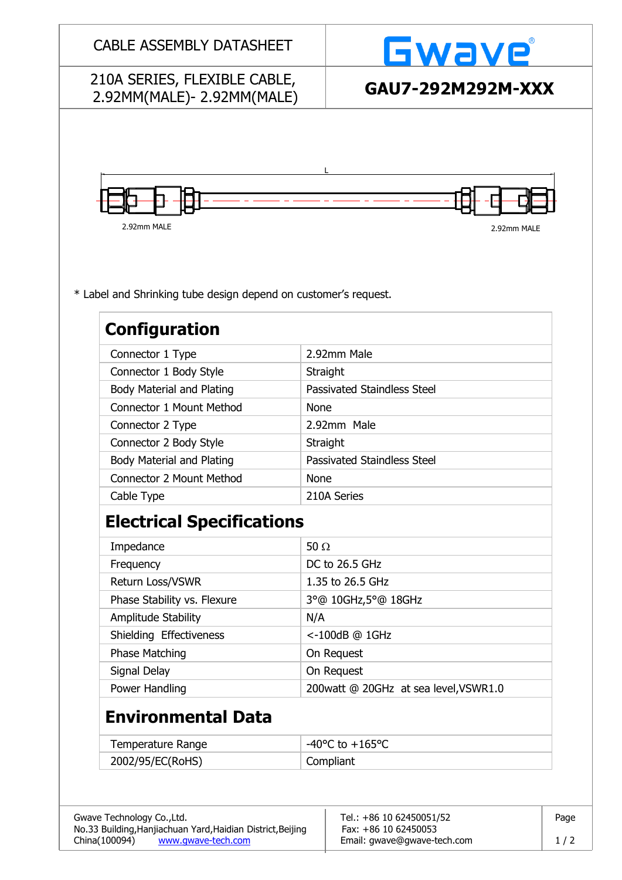| <b>CABLE ASSEMBLY DATASHEET</b>                                 |                                    | Gwave                                                    |  |  |
|-----------------------------------------------------------------|------------------------------------|----------------------------------------------------------|--|--|
| 210A SERIES, FLEXIBLE CABLE,                                    |                                    | GAU7-292M292M-XXX                                        |  |  |
| 2.92MM(MALE)-2.92MM(MALE)                                       |                                    |                                                          |  |  |
|                                                                 |                                    |                                                          |  |  |
|                                                                 |                                    |                                                          |  |  |
|                                                                 |                                    |                                                          |  |  |
|                                                                 |                                    |                                                          |  |  |
|                                                                 |                                    |                                                          |  |  |
| 2.92mm MALE                                                     |                                    | 2.92mm MALE                                              |  |  |
|                                                                 |                                    |                                                          |  |  |
|                                                                 |                                    |                                                          |  |  |
|                                                                 |                                    |                                                          |  |  |
| * Label and Shrinking tube design depend on customer's request. |                                    |                                                          |  |  |
|                                                                 |                                    |                                                          |  |  |
| <b>Configuration</b>                                            |                                    |                                                          |  |  |
| Connector 1 Type                                                |                                    | 2.92mm Male                                              |  |  |
| Connector 1 Body Style                                          | Straight                           |                                                          |  |  |
| <b>Body Material and Plating</b>                                | <b>Passivated Staindless Steel</b> |                                                          |  |  |
| Connector 1 Mount Method                                        | <b>None</b>                        |                                                          |  |  |
| Connector 2 Type                                                | 2.92mm Male                        |                                                          |  |  |
| Connector 2 Body Style                                          | Straight                           |                                                          |  |  |
| <b>Body Material and Plating</b>                                | <b>Passivated Staindless Steel</b> |                                                          |  |  |
| <b>Connector 2 Mount Method</b>                                 | <b>None</b>                        |                                                          |  |  |
| Cable Type                                                      | 210A Series                        |                                                          |  |  |
| <b>Electrical Specifications</b>                                |                                    |                                                          |  |  |
| Impedance                                                       | 50 $\Omega$                        |                                                          |  |  |
| Frequency                                                       |                                    | DC to 26.5 GHz                                           |  |  |
| Return Loss/VSWR                                                |                                    | 1.35 to 26.5 GHz                                         |  |  |
| Phase Stability vs. Flexure                                     |                                    | 3°@ 10GHz,5°@ 18GHz                                      |  |  |
| Amplitude Stability                                             | N/A                                |                                                          |  |  |
| Shielding Effectiveness                                         | <-100dB @ 1GHz                     |                                                          |  |  |
| Phase Matching                                                  | On Request                         |                                                          |  |  |
| Signal Delay                                                    | On Request                         |                                                          |  |  |
| Power Handling                                                  |                                    | 200watt @ 20GHz at sea level, VSWR1.0                    |  |  |
| <b>Environmental Data</b>                                       |                                    |                                                          |  |  |
| <b>Temperature Range</b>                                        |                                    | $-40^{\circ}$ C to $+165^{\circ}$ C                      |  |  |
| 2002/95/EC(RoHS)                                                | Compliant                          |                                                          |  |  |
|                                                                 |                                    |                                                          |  |  |
|                                                                 |                                    |                                                          |  |  |
| Gwave Technology Co., Ltd.                                      |                                    | Tel.: +86 10 62450051/52<br>Page<br>Fax: +86 10 62450053 |  |  |
| No.33 Building, Hanjiachuan Yard, Haidian District, Beijing     |                                    |                                                          |  |  |